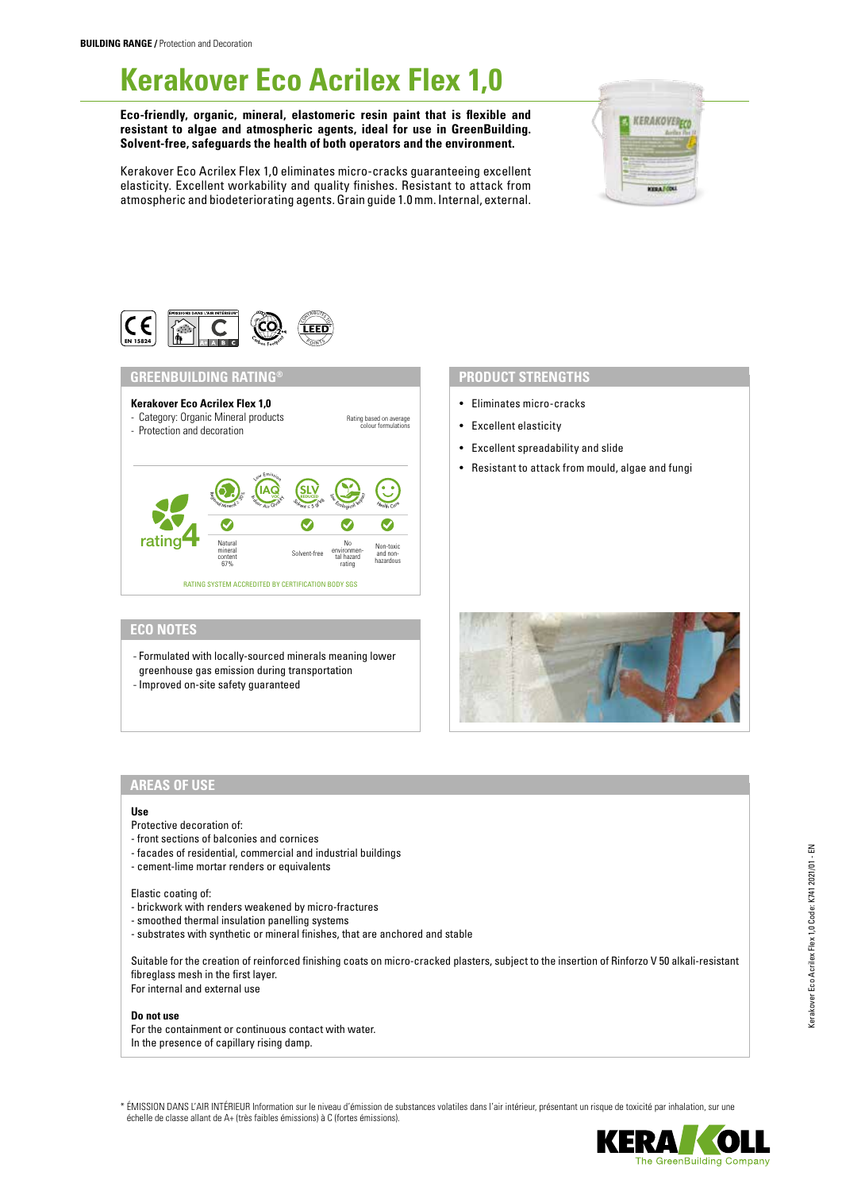# **Kerakover Eco Acrilex Flex 1,0**

**Eco-friendly, organic, mineral, elastomeric resin paint that is flexible and resistant to algae and atmospheric agents, ideal for use in GreenBuilding. Solvent-free, safeguards the health of both operators and the environment.**

Kerakover Eco Acrilex Flex 1,0 eliminates micro-cracks guaranteeing excellent elasticity. Excellent workability and quality finishes. Resistant to attack from atmospheric and biodeteriorating agents. Grain guide 1.0 mm. Internal, external.





# **GREENBUILDING RATING® PRODUCT STRENGTHS**



- Eliminates micro-cracks
- Excellent elasticity
- Excellent spreadability and slide
- Resistant to attack from mould, algae and fungi

# **ECO NOTES**

- Formulated with locally-sourced minerals meaning lower greenhouse gas emission during transportation
- 
- Improved on-site safety guaranteed

# **AREAS OF USE**

#### **Use**

- Protective decoration of:
- front sections of balconies and cornices
- facades of residential, commercial and industrial buildings
- cement-lime mortar renders or equivalents

## Elastic coating of:

- brickwork with renders weakened by micro-fractures
- smoothed thermal insulation panelling systems
- substrates with synthetic or mineral finishes, that are anchored and stable

Suitable for the creation of reinforced finishing coats on micro-cracked plasters, subject to the insertion of Rinforzo V 50 alkali-resistant fibreglass mesh in the first layer. For internal and external use

#### **Do not use**

For the containment or continuous contact with water. In the presence of capillary rising damp.

\* ÉMISSION DANS L'AIR INTÉRIEUR Information sur le niveau d'émission de substances volatiles dans l'air intérieur, présentant un risque de toxicité par inhalation, sur une échelle de classe allant de A+ (très faibles émissions) à C (fortes émissions).

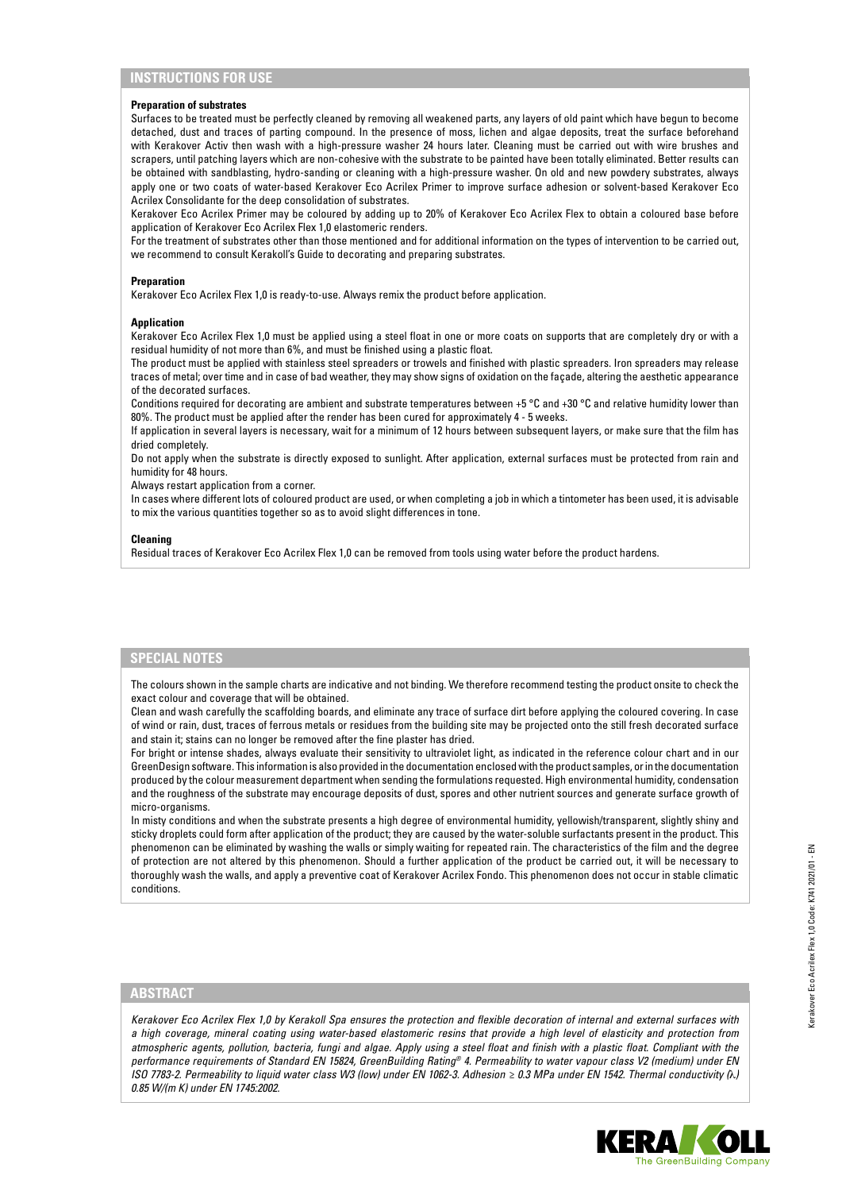# **INSTRUCTIONS FOR USE**

#### **Preparation of substrates**

Surfaces to be treated must be perfectly cleaned by removing all weakened parts, any layers of old paint which have begun to become detached, dust and traces of parting compound. In the presence of moss, lichen and algae deposits, treat the surface beforehand with Kerakover Activ then wash with a high-pressure washer 24 hours later. Cleaning must be carried out with wire brushes and scrapers, until patching layers which are non-cohesive with the substrate to be painted have been totally eliminated. Better results can be obtained with sandblasting, hydro-sanding or cleaning with a high-pressure washer. On old and new powdery substrates, always apply one or two coats of water-based Kerakover Eco Acrilex Primer to improve surface adhesion or solvent-based Kerakover Eco Acrilex Consolidante for the deep consolidation of substrates.

Kerakover Eco Acrilex Primer may be coloured by adding up to 20% of Kerakover Eco Acrilex Flex to obtain a coloured base before application of Kerakover Eco Acrilex Flex 1,0 elastomeric renders.

For the treatment of substrates other than those mentioned and for additional information on the types of intervention to be carried out, we recommend to consult Kerakoll's Guide to decorating and preparing substrates.

#### **Preparation**

Kerakover Eco Acrilex Flex 1,0 is ready-to-use. Always remix the product before application.

## **Application**

Kerakover Eco Acrilex Flex 1,0 must be applied using a steel float in one or more coats on supports that are completely dry or with a residual humidity of not more than 6%, and must be finished using a plastic float.

The product must be applied with stainless steel spreaders or trowels and finished with plastic spreaders. Iron spreaders may release traces of metal; over time and in case of bad weather, they may show signs of oxidation on the façade, altering the aesthetic appearance of the decorated surfaces.

Conditions required for decorating are ambient and substrate temperatures between +5 °C and +30 °C and relative humidity lower than 80%. The product must be applied after the render has been cured for approximately 4 - 5 weeks.

If application in several layers is necessary, wait for a minimum of 12 hours between subsequent layers, or make sure that the film has dried completely.

Do not apply when the substrate is directly exposed to sunlight. After application, external surfaces must be protected from rain and humidity for 48 hours.

Always restart application from a corner.

In cases where different lots of coloured product are used, or when completing a job in which a tintometer has been used, it is advisable to mix the various quantities together so as to avoid slight differences in tone.

#### **Cleaning**

Residual traces of Kerakover Eco Acrilex Flex 1,0 can be removed from tools using water before the product hardens.

# **SPECIAL NOTES**

The colours shown in the sample charts are indicative and not binding. We therefore recommend testing the product onsite to check the exact colour and coverage that will be obtained.

Clean and wash carefully the scaffolding boards, and eliminate any trace of surface dirt before applying the coloured covering. In case of wind or rain, dust, traces of ferrous metals or residues from the building site may be projected onto the still fresh decorated surface and stain it; stains can no longer be removed after the fine plaster has dried.

For bright or intense shades, always evaluate their sensitivity to ultraviolet light, as indicated in the reference colour chart and in our GreenDesign software. This information is also provided in the documentation enclosed with the product samples, or in the documentation produced by the colour measurement department when sending the formulations requested. High environmental humidity, condensation and the roughness of the substrate may encourage deposits of dust, spores and other nutrient sources and generate surface growth of micro-organisms.

In misty conditions and when the substrate presents a high degree of environmental humidity, yellowish/transparent, slightly shiny and sticky droplets could form after application of the product; they are caused by the water-soluble surfactants present in the product. This phenomenon can be eliminated by washing the walls or simply waiting for repeated rain. The characteristics of the film and the degree of protection are not altered by this phenomenon. Should a further application of the product be carried out, it will be necessary to thoroughly wash the walls, and apply a preventive coat of Kerakover Acrilex Fondo. This phenomenon does not occur in stable climatic conditions.

# **ABSTRACT**

*Kerakover Eco Acrilex Flex 1,0 by Kerakoll Spa ensures the protection and flexible decoration of internal and external surfaces with a high coverage, mineral coating using water-based elastomeric resins that provide a high level of elasticity and protection from atmospheric agents, pollution, bacteria, fungi and algae. Apply using a steel float and finish with a plastic float. Compliant with the performance requirements of Standard EN 15824, GreenBuilding Rating® 4. Permeability to water vapour class V2 (medium) under EN ISO 7783-2. Permeability to liquid water class W3 (low) under EN 1062-3. Adhesion ≥ 0.3 MPa under EN 1542. Thermal conductivity (*λ*) 0.85 W/(m K) under EN 1745:2002.*